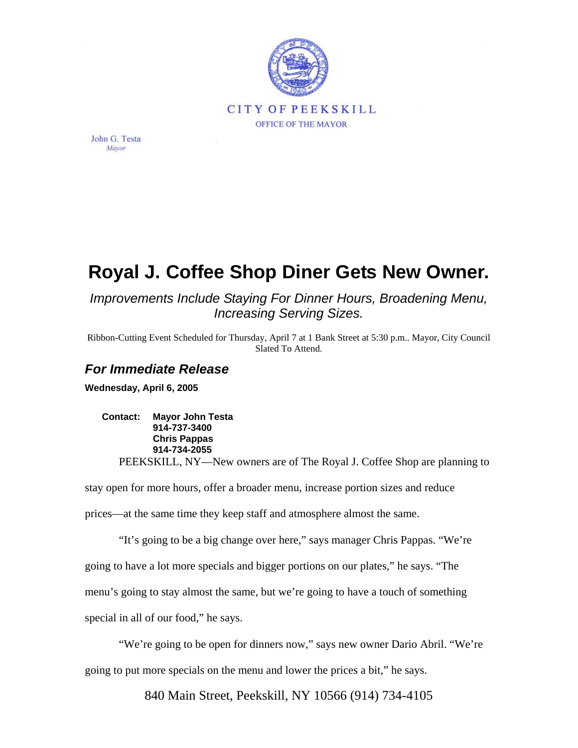

John G. Testa Mayor

## **Royal J. Coffee Shop Diner Gets New Owner.**

*Improvements Include Staying For Dinner Hours, Broadening Menu, Increasing Serving Sizes.* 

Ribbon-Cutting Event Scheduled for Thursday, April 7 at 1 Bank Street at 5:30 p.m.. Mayor, City Council Slated To Attend.

## *For Immediate Release*

**Wednesday, April 6, 2005** 

**Contact: Mayor John Testa 914-737-3400 Chris Pappas 914-734-2055**  PEEKSKILL, NY—New owners are of The Royal J. Coffee Shop are planning to

stay open for more hours, offer a broader menu, increase portion sizes and reduce prices—at the same time they keep staff and atmosphere almost the same.

"It's going to be a big change over here," says manager Chris Pappas. "We're going to have a lot more specials and bigger portions on our plates," he says. "The menu's going to stay almost the same, but we're going to have a touch of something special in all of our food," he says.

"We're going to be open for dinners now," says new owner Dario Abril. "We're going to put more specials on the menu and lower the prices a bit," he says.

840 Main Street, Peekskill, NY 10566 (914) 734-4105